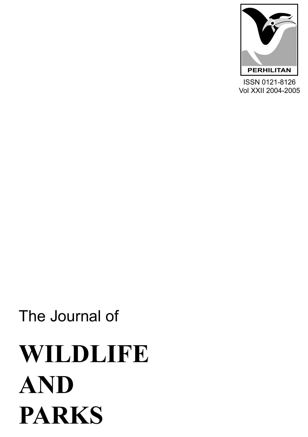

ISSN 0121-8126 Vol XXII 2004-2005

# **WILDLIFE AND PARKS**

The Journal of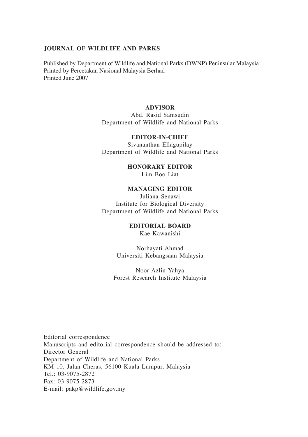### **JOURNAL OF WILDLIFE AND PARKS**

Published by Department of Wildlife and National Parks (DWNP) Peninsular Malaysia Printed by Percetakan Nasional Malaysia Berhad Printed June 2007

# **ADVISOR**

Abd. Rasid Samsudin Department of Wildlife and National Parks

#### **EDITOR-IN-CHIEF**

Sivananthan Ellagupilay Department of Wildlife and National Parks

**HONORARY EDITOR**

Lim Boo Liat

## **MANAGING EDITOR**

Juliana Senawi Institute for Biological Diversity Department of Wildlife and National Parks

## **EDITORIAL BOARD**

Kae Kawanishi

Norhayati Ahmad Universiti Kebangsaan Malaysia

Noor Azlin Yahya Forest Research Institute Malaysia

Editorial correspondence Manuscripts and editorial correspondence should be addressed to: Director General Department of Wildlife and National Parks KM 10, Jalan Cheras, 56100 Kuala Lumpur, Malaysia Tel.: 03-9075-2872 Fax: 03-9075-2873 E-mail: pakp@wildlife.gov.my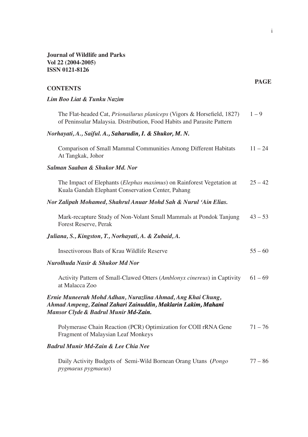**Journal of Wildlife and Parks Vol 22 (2004-2005) ISSN 0121-8126**

| <b>CONTENTS</b>                                                                                                                                                      | <b>PAGE</b> |
|----------------------------------------------------------------------------------------------------------------------------------------------------------------------|-------------|
| Lim Boo Liat & Tunku Nazim                                                                                                                                           |             |
| The Flat-headed Cat, <i>Prionailurus planiceps</i> (Vigors & Horsefield, 1827)<br>of Peninsular Malaysia. Distribution, Food Habits and Parasite Pattern             | $1 - 9$     |
| Norhayati, A., Saiful. A., Saharudin, I. & Shukor, M. N.                                                                                                             |             |
| Comparison of Small Mammal Communities Among Different Habitats<br>At Tangkak, Johor                                                                                 | $11 - 24$   |
| Salman Saaban & Shukor Md. Nor                                                                                                                                       |             |
| The Impact of Elephants (Elephas maximus) on Rainforest Vegetation at<br>Kuala Gandah Elephant Conservation Center, Pahang                                           | $25 - 42$   |
| Nor Zalipah Mohamed, Shahrul Anuar Mohd Sah & Nurul 'Ain Elias.                                                                                                      |             |
| Mark-recapture Study of Non-Volant Small Mammals at Pondok Tanjung<br>Forest Reserve, Perak                                                                          | $43 - 53$   |
| Juliana, S., Kingston, T., Norhayati, A. & Zubaid, A.                                                                                                                |             |
| Insectivorous Bats of Krau Wildlife Reserve                                                                                                                          | $55 - 60$   |
| Nurolhuda Nasir & Shukor Md Nor                                                                                                                                      |             |
| Activity Pattern of Small-Clawed Otters (Amblonyx cinereus) in Captivity<br>at Malacca Zoo                                                                           | $61 - 69$   |
| Ernie Muneerah Mohd Adhan, Nurazlina Ahmad, Ang Khai Chung,<br>Ahmad Ampeng, Zainal Zahari Zainuddin, Maklarin Lakim, Mahani<br>Mansor Clyde & Badrul Munir Md-Zain. |             |
| Polymerase Chain Reaction (PCR) Optimization for COII rRNA Gene<br>Fragment of Malaysian Leaf Monkeys                                                                | $71 - 76$   |
| <b>Badrul Munir Md-Zain &amp; Lee Chia Nee</b>                                                                                                                       |             |
| Daily Activity Budgets of Semi-Wild Bornean Orang Utans (Pongo                                                                                                       | $77 - 86$   |